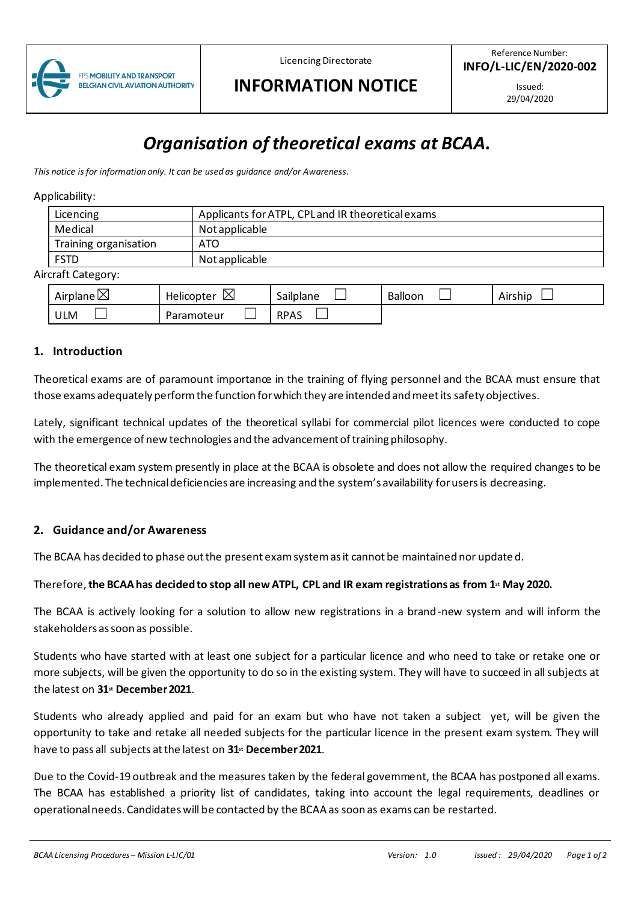

Licencing Directorate

# **INFORMATION NOTICE**

Issued: 29/04/2020

# *Organisation of theoretical exams at BCAA.*

*This notice is for information only. It can be used as guidance and/or Awareness.*

#### Applicability:

|                  | Licencing             | Applicants for ATPL, CPL and IR theoretical exams |  |  |  |
|------------------|-----------------------|---------------------------------------------------|--|--|--|
|                  | Medical               | Not applicable                                    |  |  |  |
|                  | Training organisation | ATO                                               |  |  |  |
|                  | <b>FSTD</b>           | Not applicable                                    |  |  |  |
| ircraft Catogonu |                       |                                                   |  |  |  |

#### Aircraft Category:

| ↖<br>Airplane $\boxtimes$ | ⋉<br>Helicopter<br>⊠ | $\cdot$ .<br>$\sim$<br>Sailplane | Balloon | Airship |
|---------------------------|----------------------|----------------------------------|---------|---------|
| ULM                       | Paramoteur           | <b>RPAS</b>                      |         |         |

#### **1. Introduction**

Theoretical exams are of paramount importance in the training of flying personnel and the BCAA must ensure that those exams adequately perform the function for which they are intended and meet its safety objectives.

Lately, significant technical updates of the theoretical syllabi for commercial pilot licences were conducted to cope with the emergence of new technologies and the advancement of training philosophy.

The theoretical exam system presently in place at the BCAA is obsolete and does not allow the required changes to be implemented. The technical deficiencies are increasing and the system's availability for users is decreasing.

### **2. Guidance and/or Awareness**

The BCAA has decided to phase out the present exam system as it cannot be maintained nor update d.

#### Therefore,**the BCAA has decided to stop all new ATPL, CPL and IR exam registrations as from 1st May 2020.**

The BCAA is actively looking for a solution to allow new registrations in a brand-new system and will inform the stakeholders as soon as possible.

Students who have started with at least one subject for a particular licence and who need to take or retake one or more subjects, will be given the opportunity to do so in the existing system. They will have to succeed in all subjects at the latest on **31st December 2021**.

Students who already applied and paid for an exam but who have not taken a subject yet, will be given the opportunity to take and retake all needed subjects for the particular licence in the present exam system. They will have to pass all subjects at the latest on **31st December 2021**.

Due to the Covid-19 outbreak and the measures taken by the federal government, the BCAA has postponed all exams. The BCAA has established a priority list of candidates, taking into account the legal requirements, deadlines or operational needs. Candidates will be contacted by the BCAA as soon as exams can be restarted.